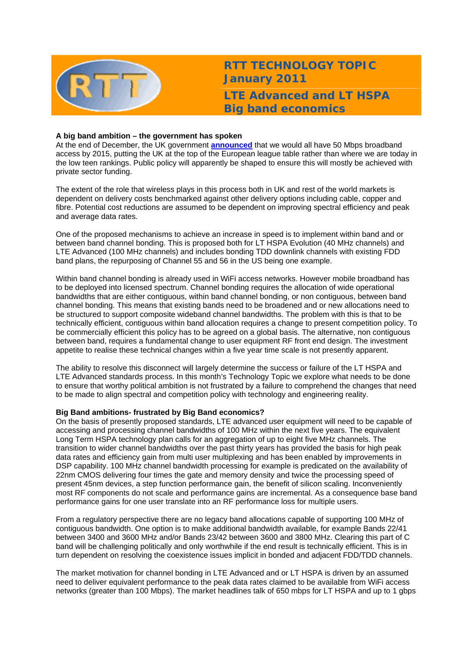

**RTT TECHNOLOGY TOPIC January 2011 LTE Advanced and LT HSPA Big band economics** 

## **A big band ambition – the government has spoken**

At the end of December, the UK government **[announced](http://www.bis.gov.uk/assets/biscore/business-sectors/docs/b/10-1320-britains-superfast-broadband-future)** that we would all have 50 Mbps broadband access by 2015, putting the UK at the top of the European league table rather than where we are today in the low teen rankings. Public policy will apparently be shaped to ensure this will mostly be achieved with private sector funding.

The extent of the role that wireless plays in this process both in UK and rest of the world markets is dependent on delivery costs benchmarked against other delivery options including cable, copper and fibre. Potential cost reductions are assumed to be dependent on improving spectral efficiency and peak and average data rates.

One of the proposed mechanisms to achieve an increase in speed is to implement within band and or between band channel bonding. This is proposed both for LT HSPA Evolution (40 MHz channels) and LTE Advanced (100 MHz channels) and includes bonding TDD downlink channels with existing FDD band plans, the repurposing of Channel 55 and 56 in the US being one example.

Within band channel bonding is already used in WiFi access networks. However mobile broadband has to be deployed into licensed spectrum. Channel bonding requires the allocation of wide operational bandwidths that are either contiguous, within band channel bonding, or non contiguous, between band channel bonding. This means that existing bands need to be broadened and or new allocations need to be structured to support composite wideband channel bandwidths. The problem with this is that to be technically efficient, contiguous within band allocation requires a change to present competition policy. To be commercially efficient this policy has to be agreed on a global basis. The alternative, non contiguous between band, requires a fundamental change to user equipment RF front end design. The investment appetite to realise these technical changes within a five year time scale is not presently apparent.

The ability to resolve this disconnect will largely determine the success or failure of the LT HSPA and LTE Advanced standards process. In this month's Technology Topic we explore what needs to be done to ensure that worthy political ambition is not frustrated by a failure to comprehend the changes that need to be made to align spectral and competition policy with technology and engineering reality.

## **Big Band ambitions- frustrated by Big Band economics?**

On the basis of presently proposed standards, LTE advanced user equipment will need to be capable of accessing and processing channel bandwidths of 100 MHz within the next five years. The equivalent Long Term HSPA technology plan calls for an aggregation of up to eight five MHz channels. The transition to wider channel bandwidths over the past thirty years has provided the basis for high peak data rates and efficiency gain from multi user multiplexing and has been enabled by improvements in DSP capability. 100 MHz channel bandwidth processing for example is predicated on the availability of 22nm CMOS delivering four times the gate and memory density and twice the processing speed of present 45nm devices, a step function performance gain, the benefit of silicon scaling. Inconveniently most RF components do not scale and performance gains are incremental. As a consequence base band performance gains for one user translate into an RF performance loss for multiple users.

From a regulatory perspective there are no legacy band allocations capable of supporting 100 MHz of contiguous bandwidth. One option is to make additional bandwidth available, for example Bands 22/41 between 3400 and 3600 MHz and/or Bands 23/42 between 3600 and 3800 MHz. Clearing this part of C band will be challenging politically and only worthwhile if the end result is technically efficient. This is in turn dependent on resolving the coexistence issues implicit in bonded and adjacent FDD/TDD channels.

The market motivation for channel bonding in LTE Advanced and or LT HSPA is driven by an assumed need to deliver equivalent performance to the peak data rates claimed to be available from WiFi access networks (greater than 100 Mbps). The market headlines talk of 650 mbps for LT HSPA and up to 1 gbps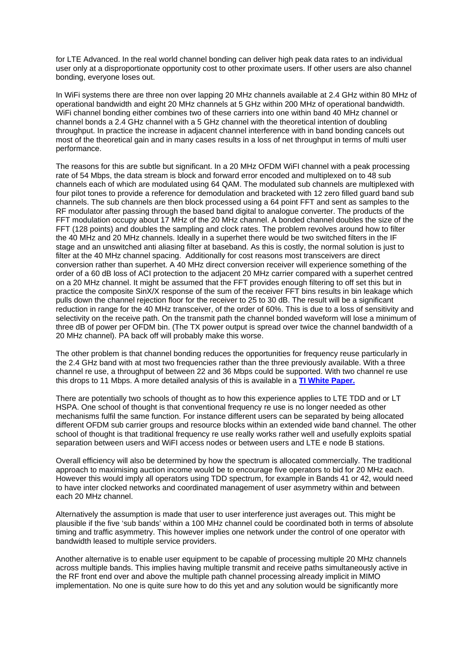for LTE Advanced. In the real world channel bonding can deliver high peak data rates to an individual user only at a disproportionate opportunity cost to other proximate users. If other users are also channel bonding, everyone loses out.

In WiFi systems there are three non over lapping 20 MHz channels available at 2.4 GHz within 80 MHz of operational bandwidth and eight 20 MHz channels at 5 GHz within 200 MHz of operational bandwidth. WiFi channel bonding either combines two of these carriers into one within band 40 MHz channel or channel bonds a 2.4 GHz channel with a 5 GHz channel with the theoretical intention of doubling throughput. In practice the increase in adjacent channel interference with in band bonding cancels out most of the theoretical gain and in many cases results in a loss of net throughput in terms of multi user performance.

The reasons for this are subtle but significant. In a 20 MHz OFDM WiFI channel with a peak processing rate of 54 Mbps, the data stream is block and forward error encoded and multiplexed on to 48 sub channels each of which are modulated using 64 QAM. The modulated sub channels are multiplexed with four pilot tones to provide a reference for demodulation and bracketed with 12 zero filled guard band sub channels. The sub channels are then block processed using a 64 point FFT and sent as samples to the RF modulator after passing through the based band digital to analogue converter. The products of the FFT modulation occupy about 17 MHz of the 20 MHz channel. A bonded channel doubles the size of the FFT (128 points) and doubles the sampling and clock rates. The problem revolves around how to filter the 40 MHz and 20 MHz channels. Ideally in a superhet there would be two switched filters in the IF stage and an unswitched anti aliasing filter at baseband. As this is costly, the normal solution is just to filter at the 40 MHz channel spacing. Additionally for cost reasons most transceivers are direct conversion rather than superhet. A 40 MHz direct conversion receiver will experience something of the order of a 60 dB loss of ACI protection to the adjacent 20 MHz carrier compared with a superhet centred on a 20 MHz channel. It might be assumed that the FFT provides enough filtering to off set this but in practice the composite SinX/X response of the sum of the receiver FFT bins results in bin leakage which pulls down the channel rejection floor for the receiver to 25 to 30 dB. The result will be a significant reduction in range for the 40 MHz transceiver, of the order of 60%. This is due to a loss of sensitivity and selectivity on the receive path. On the transmit path the channel bonded waveform will lose a minimum of three dB of power per OFDM bin. (The TX power output is spread over twice the channel bandwidth of a 20 MHz channel). PA back off will probably make this worse.

The other problem is that channel bonding reduces the opportunities for frequency reuse particularly in the 2.4 GHz band with at most two frequencies rather than the three previously available. With a three channel re use, a throughput of between 22 and 36 Mbps could be supported. With two channel re use this drops to 11 Mbps. A more detailed analysis of this is available in a **[TI White Paper.](http://focus.ti.com/lit/wp/sply003/sply003.pdf)**

There are potentially two schools of thought as to how this experience applies to LTE TDD and or LT HSPA. One school of thought is that conventional frequency re use is no longer needed as other mechanisms fulfil the same function. For instance different users can be separated by being allocated different OFDM sub carrier groups and resource blocks within an extended wide band channel. The other school of thought is that traditional frequency re use really works rather well and usefully exploits spatial separation between users and WiFI access nodes or between users and LTE e node B stations.

Overall efficiency will also be determined by how the spectrum is allocated commercially. The traditional approach to maximising auction income would be to encourage five operators to bid for 20 MHz each. However this would imply all operators using TDD spectrum, for example in Bands 41 or 42, would need to have inter clocked networks and coordinated management of user asymmetry within and between each 20 MHz channel.

Alternatively the assumption is made that user to user interference just averages out. This might be plausible if the five 'sub bands' within a 100 MHz channel could be coordinated both in terms of absolute timing and traffic asymmetry. This however implies one network under the control of one operator with bandwidth leased to multiple service providers.

Another alternative is to enable user equipment to be capable of processing multiple 20 MHz channels across multiple bands. This implies having multiple transmit and receive paths simultaneously active in the RF front end over and above the multiple path channel processing already implicit in MIMO implementation. No one is quite sure how to do this yet and any solution would be significantly more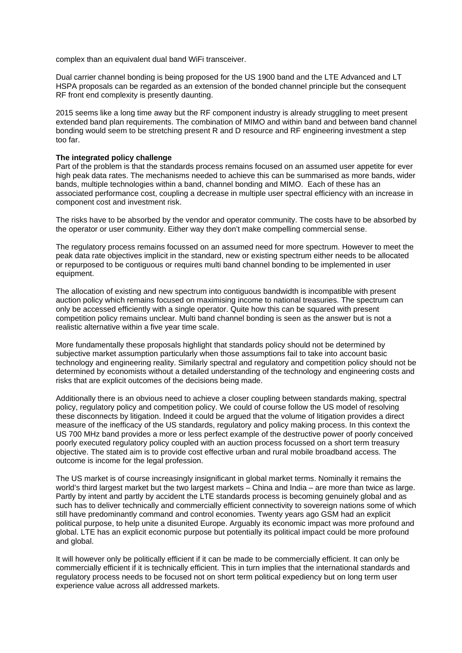complex than an equivalent dual band WiFi transceiver.

Dual carrier channel bonding is being proposed for the US 1900 band and the LTE Advanced and LT HSPA proposals can be regarded as an extension of the bonded channel principle but the consequent RF front end complexity is presently daunting.

2015 seems like a long time away but the RF component industry is already struggling to meet present extended band plan requirements. The combination of MIMO and within band and between band channel bonding would seem to be stretching present R and D resource and RF engineering investment a step too far.

## **The integrated policy challenge**

Part of the problem is that the standards process remains focused on an assumed user appetite for ever high peak data rates. The mechanisms needed to achieve this can be summarised as more bands, wider bands, multiple technologies within a band, channel bonding and MIMO. Each of these has an associated performance cost, coupling a decrease in multiple user spectral efficiency with an increase in component cost and investment risk.

The risks have to be absorbed by the vendor and operator community. The costs have to be absorbed by the operator or user community. Either way they don't make compelling commercial sense.

The regulatory process remains focussed on an assumed need for more spectrum. However to meet the peak data rate objectives implicit in the standard, new or existing spectrum either needs to be allocated or repurposed to be contiguous or requires multi band channel bonding to be implemented in user equipment.

The allocation of existing and new spectrum into contiguous bandwidth is incompatible with present auction policy which remains focused on maximising income to national treasuries. The spectrum can only be accessed efficiently with a single operator. Quite how this can be squared with present competition policy remains unclear. Multi band channel bonding is seen as the answer but is not a realistic alternative within a five year time scale.

More fundamentally these proposals highlight that standards policy should not be determined by subjective market assumption particularly when those assumptions fail to take into account basic technology and engineering reality. Similarly spectral and regulatory and competition policy should not be determined by economists without a detailed understanding of the technology and engineering costs and risks that are explicit outcomes of the decisions being made.

Additionally there is an obvious need to achieve a closer coupling between standards making, spectral policy, regulatory policy and competition policy. We could of course follow the US model of resolving these disconnects by litigation. Indeed it could be argued that the volume of litigation provides a direct measure of the inefficacy of the US standards, regulatory and policy making process. In this context the US 700 MHz band provides a more or less perfect example of the destructive power of poorly conceived poorly executed regulatory policy coupled with an auction process focussed on a short term treasury objective. The stated aim is to provide cost effective urban and rural mobile broadband access. The outcome is income for the legal profession.

The US market is of course increasingly insignificant in global market terms. Nominally it remains the world's third largest market but the two largest markets – China and India – are more than twice as large. Partly by intent and partly by accident the LTE standards process is becoming genuinely global and as such has to deliver technically and commercially efficient connectivity to sovereign nations some of which still have predominantly command and control economies. Twenty years ago GSM had an explicit political purpose, to help unite a disunited Europe. Arguably its economic impact was more profound and global. LTE has an explicit economic purpose but potentially its political impact could be more profound and global.

It will however only be politically efficient if it can be made to be commercially efficient. It can only be commercially efficient if it is technically efficient. This in turn implies that the international standards and regulatory process needs to be focused not on short term political expediency but on long term user experience value across all addressed markets.